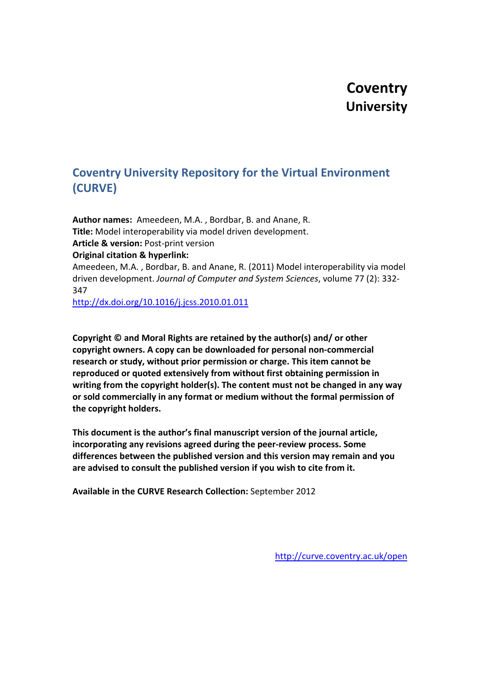# **Coventry University**

# **Coventry University Repository for the Virtual Environment (CURVE)**

**Author names:** Ameedeen, M.A. , Bordbar, B. and Anane, R. **Title:** Model interoperability via model driven development. **Article & version:** Post-print version **Original citation & hyperlink:** Ameedeen, M.A. , Bordbar, B. and Anane, R. (2011) Model interoperability via model driven development. *Journal of Computer and System Sciences*, volume 77 (2): 332- 347

<http://dx.doi.org/10.1016/j.jcss.2010.01.011>

**Copyright © and Moral Rights are retained by the author(s) and/ or other copyright owners. A copy can be downloaded for personal non-commercial research or study, without prior permission or charge. This item cannot be reproduced or quoted extensively from without first obtaining permission in writing from the copyright holder(s). The content must not be changed in any way or sold commercially in any format or medium without the formal permission of the copyright holders.**

**This document is the author's final manuscript version of the journal article, incorporating any revisions agreed during the peer-review process. Some differences between the published version and this version may remain and you are advised to consult the published version if you wish to cite from it.**

**Available in the CURVE Research Collection:** September 2012

<http://curve.coventry.ac.uk/open>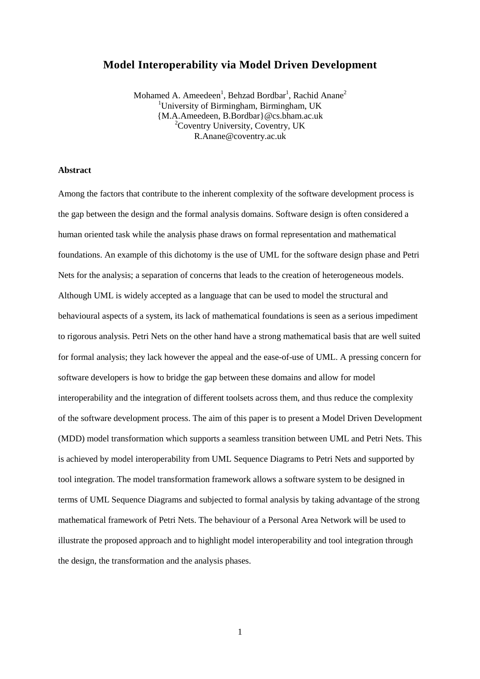# **Model Interoperability via Model Driven Development**

Mohamed A. Ameedeen<sup>1</sup>, Behzad Bordbar<sup>1</sup>, Rachid Anane<sup>2</sup> <sup>1</sup>University of Birmingham, Birmingham, UK {M.A.Ameedeen, B.Bordbar}@cs.bham.ac.uk <sup>2</sup>Coventry University, Coventry, UK R.Anane@coventry.ac.uk

### **Abstract**

Among the factors that contribute to the inherent complexity of the software development process is the gap between the design and the formal analysis domains. Software design is often considered a human oriented task while the analysis phase draws on formal representation and mathematical foundations. An example of this dichotomy is the use of UML for the software design phase and Petri Nets for the analysis; a separation of concerns that leads to the creation of heterogeneous models. Although UML is widely accepted as a language that can be used to model the structural and behavioural aspects of a system, its lack of mathematical foundations is seen as a serious impediment to rigorous analysis. Petri Nets on the other hand have a strong mathematical basis that are well suited for formal analysis; they lack however the appeal and the ease-of-use of UML. A pressing concern for software developers is how to bridge the gap between these domains and allow for model interoperability and the integration of different toolsets across them, and thus reduce the complexity of the software development process. The aim of this paper is to present a Model Driven Development (MDD) model transformation which supports a seamless transition between UML and Petri Nets. This is achieved by model interoperability from UML Sequence Diagrams to Petri Nets and supported by tool integration. The model transformation framework allows a software system to be designed in terms of UML Sequence Diagrams and subjected to formal analysis by taking advantage of the strong mathematical framework of Petri Nets. The behaviour of a Personal Area Network will be used to illustrate the proposed approach and to highlight model interoperability and tool integration through the design, the transformation and the analysis phases.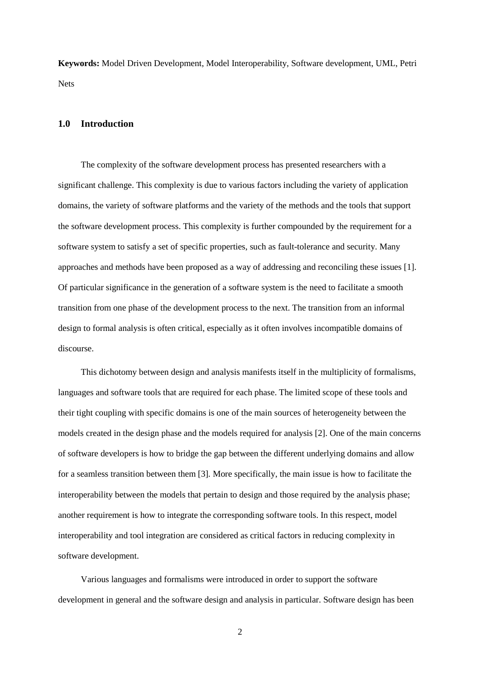**Keywords:** Model Driven Development, Model Interoperability, Software development, UML, Petri Nets

# **1.0 Introduction**

The complexity of the software development process has presented researchers with a significant challenge. This complexity is due to various factors including the variety of application domains, the variety of software platforms and the variety of the methods and the tools that support the software development process. This complexity is further compounded by the requirement for a software system to satisfy a set of specific properties, such as fault-tolerance and security. Many approaches and methods have been proposed as a way of addressing and reconciling these issues [1]. Of particular significance in the generation of a software system is the need to facilitate a smooth transition from one phase of the development process to the next. The transition from an informal design to formal analysis is often critical, especially as it often involves incompatible domains of discourse.

 This dichotomy between design and analysis manifests itself in the multiplicity of formalisms, languages and software tools that are required for each phase. The limited scope of these tools and their tight coupling with specific domains is one of the main sources of heterogeneity between the models created in the design phase and the models required for analysis [2]. One of the main concerns of software developers is how to bridge the gap between the different underlying domains and allow for a seamless transition between them [3]*.* More specifically, the main issue is how to facilitate the interoperability between the models that pertain to design and those required by the analysis phase; another requirement is how to integrate the corresponding software tools. In this respect, model interoperability and tool integration are considered as critical factors in reducing complexity in software development.

 Various languages and formalisms were introduced in order to support the software development in general and the software design and analysis in particular. Software design has been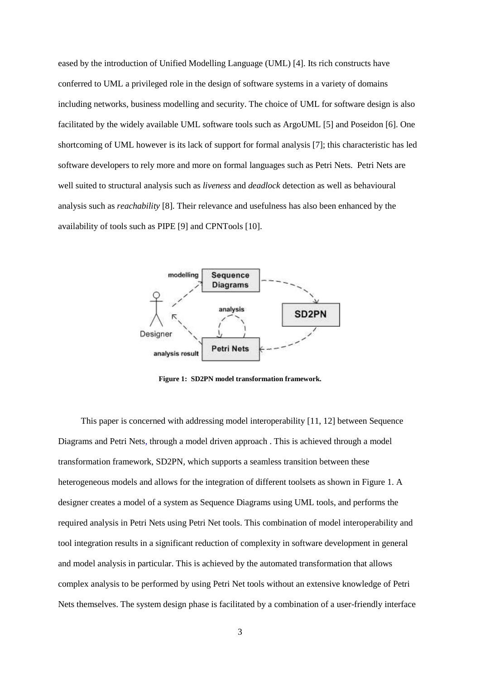eased by the introduction of Unified Modelling Language (UML) [4]. Its rich constructs have conferred to UML a privileged role in the design of software systems in a variety of domains including networks, business modelling and security. The choice of UML for software design is also facilitated by the widely available UML software tools such as ArgoUML [5] and Poseidon [6]. One shortcoming of UML however is its lack of support for formal analysis [7]; this characteristic has led software developers to rely more and more on formal languages such as Petri Nets. Petri Nets are well suited to structural analysis such as *liveness* and *deadlock* detection as well as behavioural analysis such as *reachability* [8]. Their relevance and usefulness has also been enhanced by the availability of tools such as PIPE [9] and CPNTools [10].



**Figure 1: SD2PN model transformation framework.** 

 This paper is concerned with addressing model interoperability [11, 12] between Sequence Diagrams and Petri Nets, through a model driven approach . This is achieved through a model transformation framework, SD2PN, which supports a seamless transition between these heterogeneous models and allows for the integration of different toolsets as shown in Figure 1. A designer creates a model of a system as Sequence Diagrams using UML tools, and performs the required analysis in Petri Nets using Petri Net tools. This combination of model interoperability and tool integration results in a significant reduction of complexity in software development in general and model analysis in particular. This is achieved by the automated transformation that allows complex analysis to be performed by using Petri Net tools without an extensive knowledge of Petri Nets themselves. The system design phase is facilitated by a combination of a user-friendly interface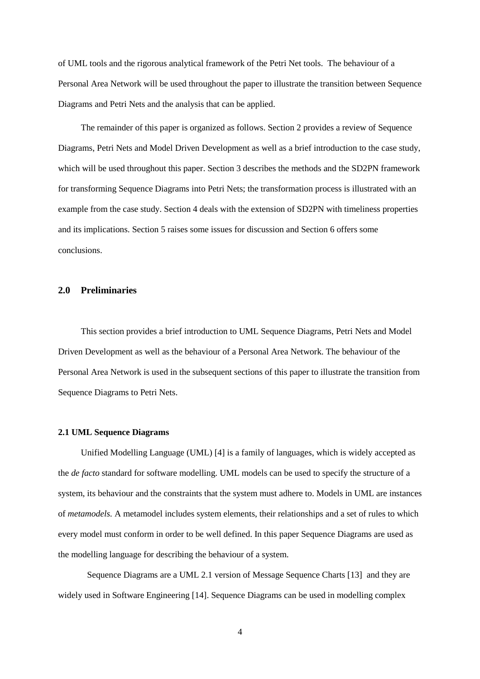of UML tools and the rigorous analytical framework of the Petri Net tools. The behaviour of a Personal Area Network will be used throughout the paper to illustrate the transition between Sequence Diagrams and Petri Nets and the analysis that can be applied.

 The remainder of this paper is organized as follows. Section 2 provides a review of Sequence Diagrams, Petri Nets and Model Driven Development as well as a brief introduction to the case study, which will be used throughout this paper. Section 3 describes the methods and the SD2PN framework for transforming Sequence Diagrams into Petri Nets; the transformation process is illustrated with an example from the case study. Section 4 deals with the extension of SD2PN with timeliness properties and its implications. Section 5 raises some issues for discussion and Section 6 offers some conclusions.

# **2.0 Preliminaries**

 This section provides a brief introduction to UML Sequence Diagrams, Petri Nets and Model Driven Development as well as the behaviour of a Personal Area Network. The behaviour of the Personal Area Network is used in the subsequent sections of this paper to illustrate the transition from Sequence Diagrams to Petri Nets.

#### **2.1 UML Sequence Diagrams**

Unified Modelling Language (UML) [4] is a family of languages, which is widely accepted as the *de facto* standard for software modelling. UML models can be used to specify the structure of a system, its behaviour and the constraints that the system must adhere to. Models in UML are instances of *metamodels.* A metamodel includes system elements, their relationships and a set of rules to which every model must conform in order to be well defined. In this paper Sequence Diagrams are used as the modelling language for describing the behaviour of a system.

Sequence Diagrams are a UML 2.1 version of Message Sequence Charts [13] and they are widely used in Software Engineering [14]. Sequence Diagrams can be used in modelling complex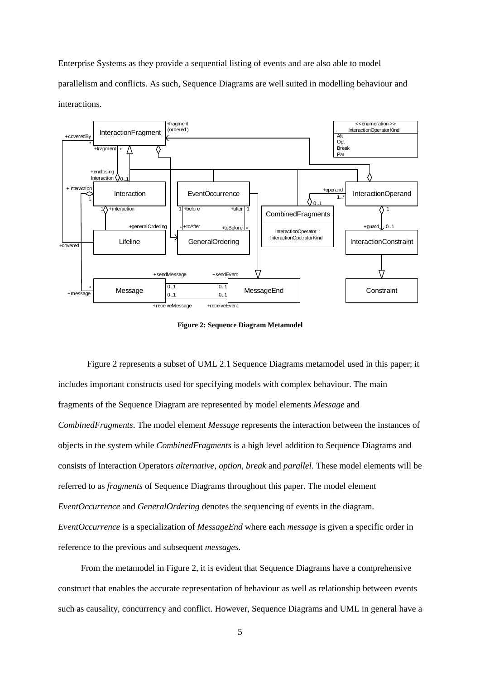Enterprise Systems as they provide a sequential listing of events and are also able to model parallelism and conflicts. As such, Sequence Diagrams are well suited in modelling behaviour and interactions.



**Figure 2: Sequence Diagram Metamodel** 

Figure 2 represents a subset of UML 2.1 Sequence Diagrams metamodel used in this paper; it includes important constructs used for specifying models with complex behaviour. The main fragments of the Sequence Diagram are represented by model elements *Message* and *CombinedFragments*. The model element *Message* represents the interaction between the instances of objects in the system while *CombinedFragments* is a high level addition to Sequence Diagrams and consists of Interaction Operators *alternative*, *option*, *break* and *parallel*. These model elements will be referred to as *fragments* of Sequence Diagrams throughout this paper. The model element *EventOccurrence* and *GeneralOrdering* denotes the sequencing of events in the diagram. *EventOccurrence* is a specialization of *MessageEnd* where each *message* is given a specific order in reference to the previous and subsequent *messages*.

 From the metamodel in Figure 2, it is evident that Sequence Diagrams have a comprehensive construct that enables the accurate representation of behaviour as well as relationship between events such as causality, concurrency and conflict. However, Sequence Diagrams and UML in general have a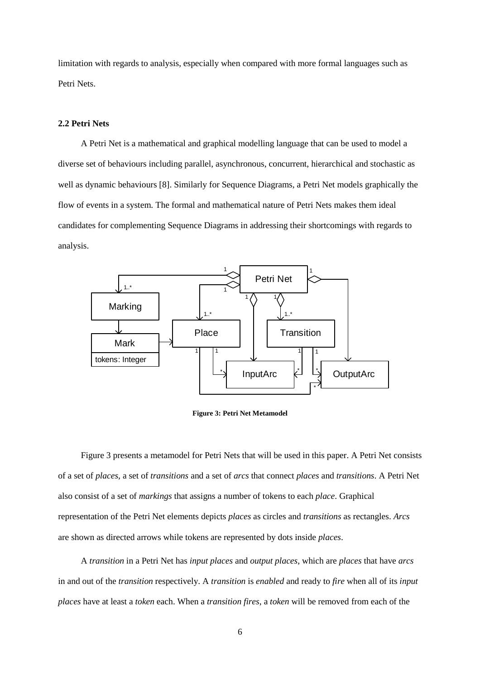limitation with regards to analysis, especially when compared with more formal languages such as Petri Nets.

# **2.2 Petri Nets**

 A Petri Net is a mathematical and graphical modelling language that can be used to model a diverse set of behaviours including parallel, asynchronous, concurrent, hierarchical and stochastic as well as dynamic behaviours [8]. Similarly for Sequence Diagrams, a Petri Net models graphically the flow of events in a system. The formal and mathematical nature of Petri Nets makes them ideal candidates for complementing Sequence Diagrams in addressing their shortcomings with regards to analysis.



**Figure 3: Petri Net Metamodel** 

 Figure 3 presents a metamodel for Petri Nets that will be used in this paper. A Petri Net consists of a set of *places*, a set of *transitions* and a set of *arcs* that connect *places* and *transitions*. A Petri Net also consist of a set of *markings* that assigns a number of tokens to each *place*. Graphical representation of the Petri Net elements depicts *places* as circles and *transitions* as rectangles. *Arcs* are shown as directed arrows while tokens are represented by dots inside *places*.

 A *transition* in a Petri Net has *input places* and *output places*, which are *places* that have *arcs* in and out of the *transition* respectively. A *transition* is *enabled* and ready to *fire* when all of its *input places* have at least a *token* each. When a *transition fires*, a *token* will be removed from each of the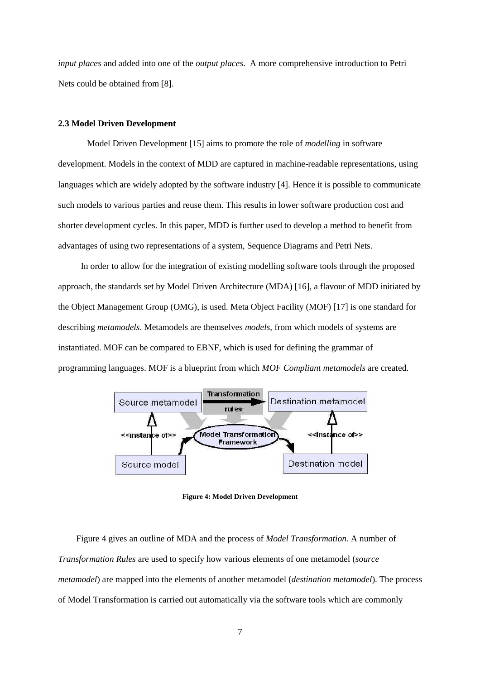*input places* and added into one of the *output places*. A more comprehensive introduction to Petri Nets could be obtained from [8].

#### **2.3 Model Driven Development**

Model Driven Development [15] aims to promote the role of *modelling* in software development. Models in the context of MDD are captured in machine-readable representations, using languages which are widely adopted by the software industry [4]. Hence it is possible to communicate such models to various parties and reuse them. This results in lower software production cost and shorter development cycles. In this paper, MDD is further used to develop a method to benefit from advantages of using two representations of a system, Sequence Diagrams and Petri Nets.

 In order to allow for the integration of existing modelling software tools through the proposed approach, the standards set by Model Driven Architecture (MDA) [16], a flavour of MDD initiated by the Object Management Group (OMG), is used. Meta Object Facility (MOF) [17] is one standard for describing *metamodels*. Metamodels are themselves *models*, from which models of systems are instantiated. MOF can be compared to EBNF, which is used for defining the grammar of programming languages. MOF is a blueprint from which *MOF Compliant metamodels* are created.



**Figure 4: Model Driven Development** 

Figure 4 gives an outline of MDA and the process of *Model Transformation.* A number of *Transformation Rules* are used to specify how various elements of one metamodel (*source metamodel*) are mapped into the elements of another metamodel (*destination metamodel*). The process of Model Transformation is carried out automatically via the software tools which are commonly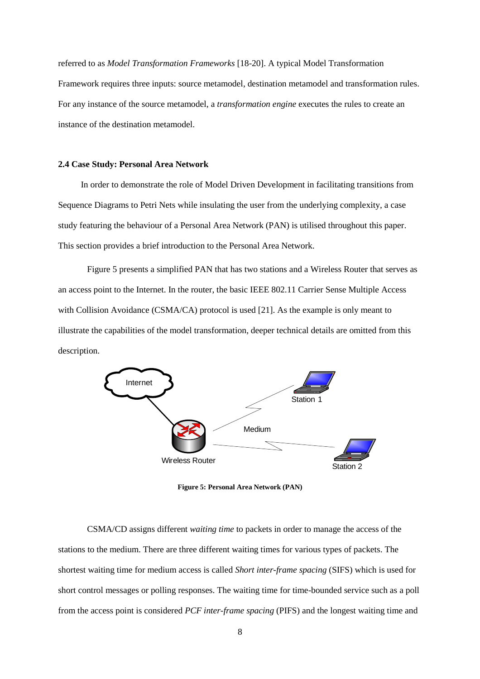referred to as *Model Transformation Frameworks* [18-20]. A typical Model Transformation Framework requires three inputs: source metamodel, destination metamodel and transformation rules. For any instance of the source metamodel, a *transformation engine* executes the rules to create an instance of the destination metamodel.

#### **2.4 Case Study: Personal Area Network**

 In order to demonstrate the role of Model Driven Development in facilitating transitions from Sequence Diagrams to Petri Nets while insulating the user from the underlying complexity, a case study featuring the behaviour of a Personal Area Network (PAN) is utilised throughout this paper. This section provides a brief introduction to the Personal Area Network.

Figure 5 presents a simplified PAN that has two stations and a Wireless Router that serves as an access point to the Internet. In the router, the basic IEEE 802.11 Carrier Sense Multiple Access with Collision Avoidance (CSMA/CA) protocol is used [21]. As the example is only meant to illustrate the capabilities of the model transformation, deeper technical details are omitted from this description.



**Figure 5: Personal Area Network (PAN)** 

CSMA/CD assigns different *waiting time* to packets in order to manage the access of the stations to the medium. There are three different waiting times for various types of packets. The shortest waiting time for medium access is called *Short inter-frame spacing* (SIFS) which is used for short control messages or polling responses. The waiting time for time-bounded service such as a poll from the access point is considered *PCF inter-frame spacing* (PIFS) and the longest waiting time and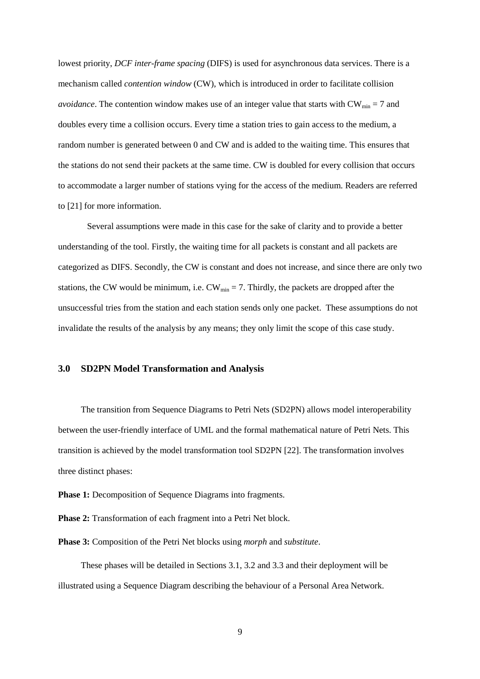lowest priority, *DCF inter-frame spacing* (DIFS) is used for asynchronous data services. There is a mechanism called *contention window* (CW), which is introduced in order to facilitate collision *avoidance*. The contention window makes use of an integer value that starts with  $CW_{min} = 7$  and doubles every time a collision occurs. Every time a station tries to gain access to the medium, a random number is generated between 0 and CW and is added to the waiting time. This ensures that the stations do not send their packets at the same time. CW is doubled for every collision that occurs to accommodate a larger number of stations vying for the access of the medium. Readers are referred to [21] for more information.

Several assumptions were made in this case for the sake of clarity and to provide a better understanding of the tool. Firstly, the waiting time for all packets is constant and all packets are categorized as DIFS. Secondly, the CW is constant and does not increase, and since there are only two stations, the CW would be minimum, i.e.  $CW_{min} = 7$ . Thirdly, the packets are dropped after the unsuccessful tries from the station and each station sends only one packet. These assumptions do not invalidate the results of the analysis by any means; they only limit the scope of this case study.

# **3.0 SD2PN Model Transformation and Analysis**

 The transition from Sequence Diagrams to Petri Nets (SD2PN) allows model interoperability between the user-friendly interface of UML and the formal mathematical nature of Petri Nets. This transition is achieved by the model transformation tool SD2PN [22]. The transformation involves three distinct phases:

**Phase 1:** Decomposition of Sequence Diagrams into fragments.

**Phase 2:** Transformation of each fragment into a Petri Net block.

**Phase 3:** Composition of the Petri Net blocks using *morph* and *substitute*.

 These phases will be detailed in Sections 3.1, 3.2 and 3.3 and their deployment will be illustrated using a Sequence Diagram describing the behaviour of a Personal Area Network.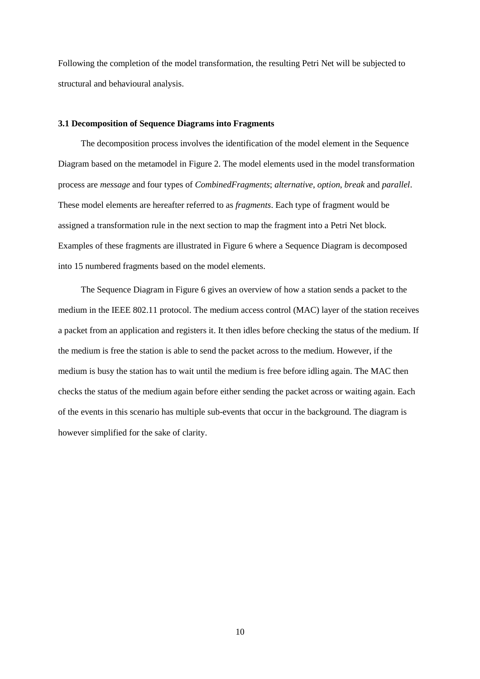Following the completion of the model transformation, the resulting Petri Net will be subjected to structural and behavioural analysis.

# **3.1 Decomposition of Sequence Diagrams into Fragments**

 The decomposition process involves the identification of the model element in the Sequence Diagram based on the metamodel in Figure 2. The model elements used in the model transformation process are *message* and four types of *CombinedFragments*; *alternative*, *option*, *break* and *parallel*. These model elements are hereafter referred to as *fragments*. Each type of fragment would be assigned a transformation rule in the next section to map the fragment into a Petri Net block. Examples of these fragments are illustrated in Figure 6 where a Sequence Diagram is decomposed into 15 numbered fragments based on the model elements.

 The Sequence Diagram in Figure 6 gives an overview of how a station sends a packet to the medium in the IEEE 802.11 protocol. The medium access control (MAC) layer of the station receives a packet from an application and registers it. It then idles before checking the status of the medium. If the medium is free the station is able to send the packet across to the medium. However, if the medium is busy the station has to wait until the medium is free before idling again. The MAC then checks the status of the medium again before either sending the packet across or waiting again. Each of the events in this scenario has multiple sub-events that occur in the background. The diagram is however simplified for the sake of clarity.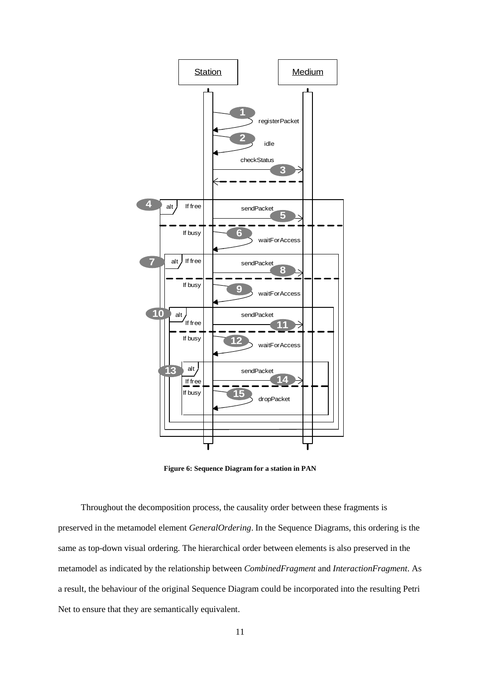

**Figure 6: Sequence Diagram for a station in PAN** 

 Throughout the decomposition process, the causality order between these fragments is preserved in the metamodel element *GeneralOrdering*. In the Sequence Diagrams, this ordering is the same as top-down visual ordering. The hierarchical order between elements is also preserved in the metamodel as indicated by the relationship between *CombinedFragment* and *InteractionFragment*. As a result, the behaviour of the original Sequence Diagram could be incorporated into the resulting Petri Net to ensure that they are semantically equivalent.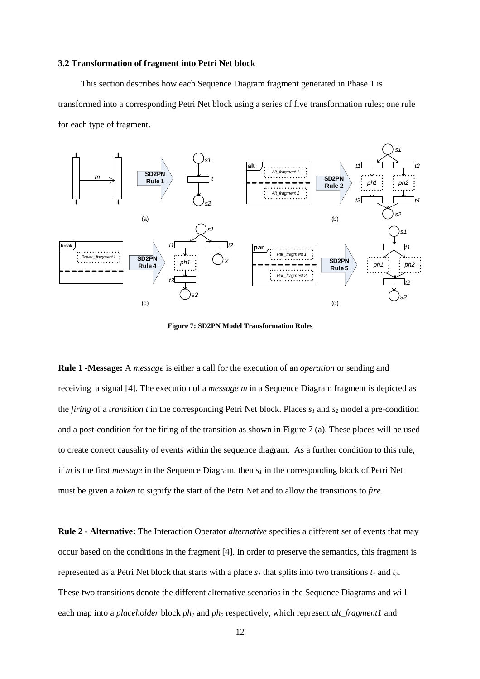#### **3.2 Transformation of fragment into Petri Net block**

 This section describes how each Sequence Diagram fragment generated in Phase 1 is transformed into a corresponding Petri Net block using a series of five transformation rules; one rule for each type of fragment.



**Figure 7: SD2PN Model Transformation Rules** 

**Rule 1 -Message:** A *message* is either a call for the execution of an *operation* or sending and receiving a signal [4]. The execution of a *message m* in a Sequence Diagram fragment is depicted as the *firing* of a *transition t* in the corresponding Petri Net block. Places *s1* and *s2* model a pre-condition and a post-condition for the firing of the transition as shown in Figure 7 (a). These places will be used to create correct causality of events within the sequence diagram. As a further condition to this rule, if *m* is the first *message* in the Sequence Diagram, then *s1* in the corresponding block of Petri Net must be given a *token* to signify the start of the Petri Net and to allow the transitions to *fire*.

**Rule 2 - Alternative:** The Interaction Operator *alternative* specifies a different set of events that may occur based on the conditions in the fragment [4]. In order to preserve the semantics, this fragment is represented as a Petri Net block that starts with a place  $s<sub>l</sub>$  that splits into two transitions  $t<sub>l</sub>$  and  $t<sub>2</sub>$ . These two transitions denote the different alternative scenarios in the Sequence Diagrams and will each map into a *placeholder* block *ph1* and *ph2* respectively, which represent *alt\_fragment1* and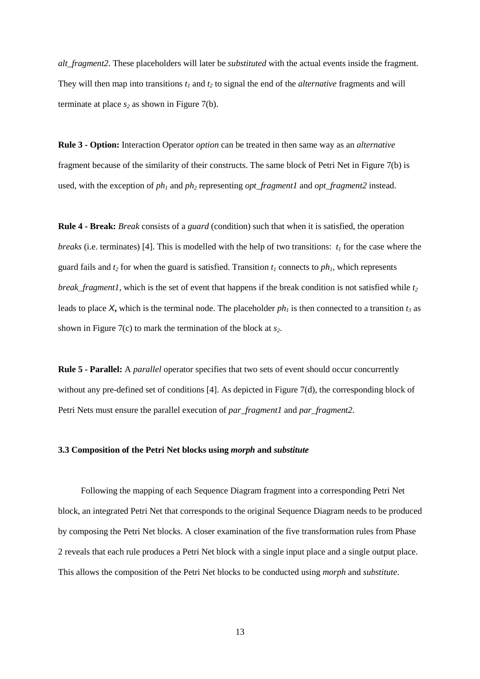*alt\_fragment2*. These placeholders will later be *substituted* with the actual events inside the fragment. They will then map into transitions  $t_1$  and  $t_2$  to signal the end of the *alternative* fragments and will terminate at place  $s_2$  as shown in Figure 7(b).

**Rule 3 - Option:** Interaction Operator *option* can be treated in then same way as an *alternative* fragment because of the similarity of their constructs. The same block of Petri Net in Figure 7(b) is used, with the exception of *ph1* and *ph2* representing *opt\_fragment1* and *opt\_fragment2* instead.

**Rule 4 - Break:** *Break* consists of a *guard* (condition) such that when it is satisfied, the operation *breaks* (i.e. terminates) [4]. This is modelled with the help of two transitions: *t1* for the case where the guard fails and  $t_2$  for when the guard is satisfied. Transition  $t_1$  connects to  $ph_1$ , which represents *break fragment1*, which is the set of event that happens if the break condition is not satisfied while  $t_2$ leads to place X, which is the terminal node. The placeholder  $ph<sub>l</sub>$  is then connected to a transition  $t<sub>3</sub>$  as shown in Figure 7(c) to mark the termination of the block at *s2*.

**Rule 5 - Parallel:** A *parallel* operator specifies that two sets of event should occur concurrently without any pre-defined set of conditions [4]. As depicted in Figure 7(d), the corresponding block of Petri Nets must ensure the parallel execution of *par\_fragment1* and *par\_fragment2*.

#### **3.3 Composition of the Petri Net blocks using** *morph* **and** *substitute*

 Following the mapping of each Sequence Diagram fragment into a corresponding Petri Net block, an integrated Petri Net that corresponds to the original Sequence Diagram needs to be produced by composing the Petri Net blocks. A closer examination of the five transformation rules from Phase 2 reveals that each rule produces a Petri Net block with a single input place and a single output place. This allows the composition of the Petri Net blocks to be conducted using *morph* and *substitute*.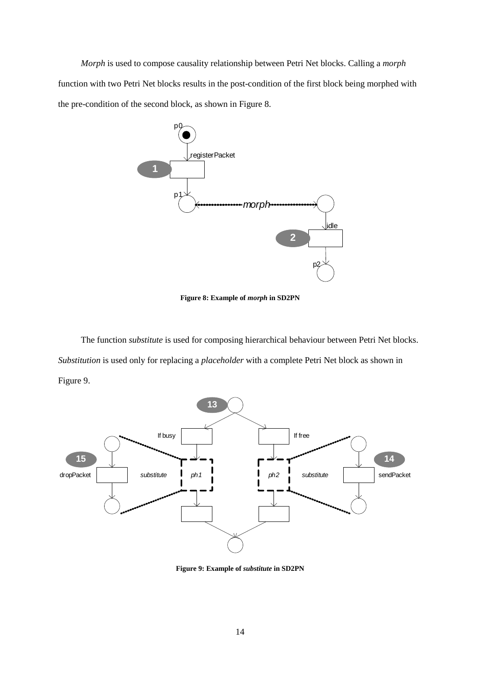*Morph* is used to compose causality relationship between Petri Net blocks. Calling a *morph* function with two Petri Net blocks results in the post-condition of the first block being morphed with the pre-condition of the second block, as shown in Figure 8.



**Figure 8: Example of** *morph* **in SD2PN** 

 The function *substitute* is used for composing hierarchical behaviour between Petri Net blocks. *Substitution* is used only for replacing a *placeholder* with a complete Petri Net block as shown in Figure 9.



**Figure 9: Example of** *substitute* **in SD2PN**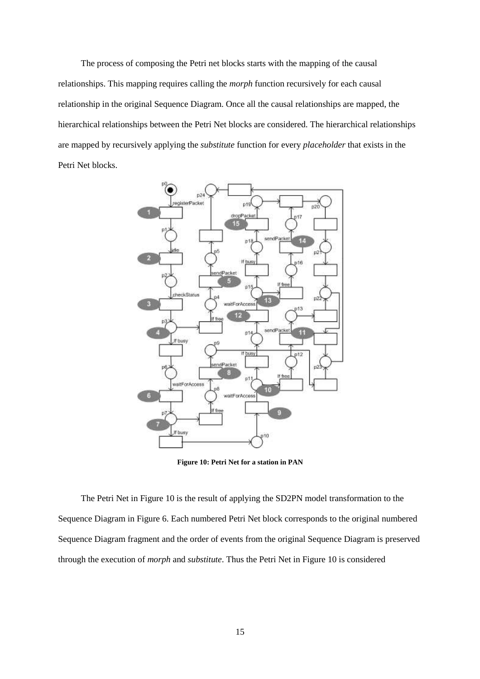The process of composing the Petri net blocks starts with the mapping of the causal relationships. This mapping requires calling the *morph* function recursively for each causal relationship in the original Sequence Diagram. Once all the causal relationships are mapped, the hierarchical relationships between the Petri Net blocks are considered. The hierarchical relationships are mapped by recursively applying the *substitute* function for every *placeholder* that exists in the Petri Net blocks.



**Figure 10: Petri Net for a station in PAN** 

 The Petri Net in Figure 10 is the result of applying the SD2PN model transformation to the Sequence Diagram in Figure 6. Each numbered Petri Net block corresponds to the original numbered Sequence Diagram fragment and the order of events from the original Sequence Diagram is preserved through the execution of *morph* and *substitute*. Thus the Petri Net in Figure 10 is considered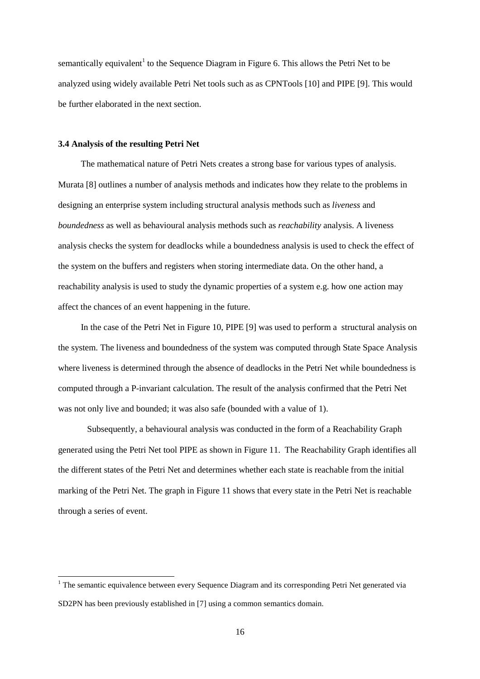semantically equivalent<sup>1</sup> to the Sequence Diagram in Figure 6. This allows the Petri Net to be analyzed using widely available Petri Net tools such as as CPNTools [10] and PIPE [9]. This would be further elaborated in the next section.

#### **3.4 Analysis of the resulting Petri Net**

 $\overline{a}$ 

 The mathematical nature of Petri Nets creates a strong base for various types of analysis. Murata [8] outlines a number of analysis methods and indicates how they relate to the problems in designing an enterprise system including structural analysis methods such as *liveness* and *boundedness* as well as behavioural analysis methods such as *reachability* analysis. A liveness analysis checks the system for deadlocks while a boundedness analysis is used to check the effect of the system on the buffers and registers when storing intermediate data. On the other hand, a reachability analysis is used to study the dynamic properties of a system e.g. how one action may affect the chances of an event happening in the future.

 In the case of the Petri Net in Figure 10, PIPE [9] was used to perform a structural analysis on the system. The liveness and boundedness of the system was computed through State Space Analysis where liveness is determined through the absence of deadlocks in the Petri Net while boundedness is computed through a P-invariant calculation. The result of the analysis confirmed that the Petri Net was not only live and bounded; it was also safe (bounded with a value of 1).

Subsequently, a behavioural analysis was conducted in the form of a Reachability Graph generated using the Petri Net tool PIPE as shown in Figure 11. The Reachability Graph identifies all the different states of the Petri Net and determines whether each state is reachable from the initial marking of the Petri Net. The graph in Figure 11 shows that every state in the Petri Net is reachable through a series of event.

<sup>&</sup>lt;sup>1</sup> The semantic equivalence between every Sequence Diagram and its corresponding Petri Net generated via SD2PN has been previously established in [7] using a common semantics domain.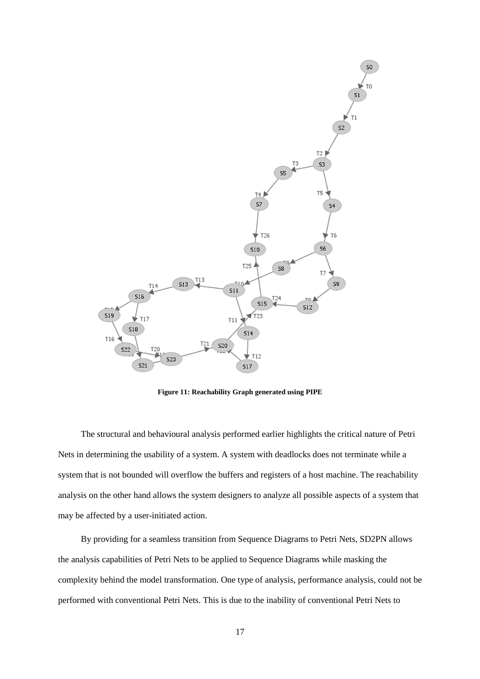

**Figure 11: Reachability Graph generated using PIPE** 

 The structural and behavioural analysis performed earlier highlights the critical nature of Petri Nets in determining the usability of a system. A system with deadlocks does not terminate while a system that is not bounded will overflow the buffers and registers of a host machine. The reachability analysis on the other hand allows the system designers to analyze all possible aspects of a system that may be affected by a user-initiated action.

 By providing for a seamless transition from Sequence Diagrams to Petri Nets, SD2PN allows the analysis capabilities of Petri Nets to be applied to Sequence Diagrams while masking the complexity behind the model transformation. One type of analysis, performance analysis, could not be performed with conventional Petri Nets. This is due to the inability of conventional Petri Nets to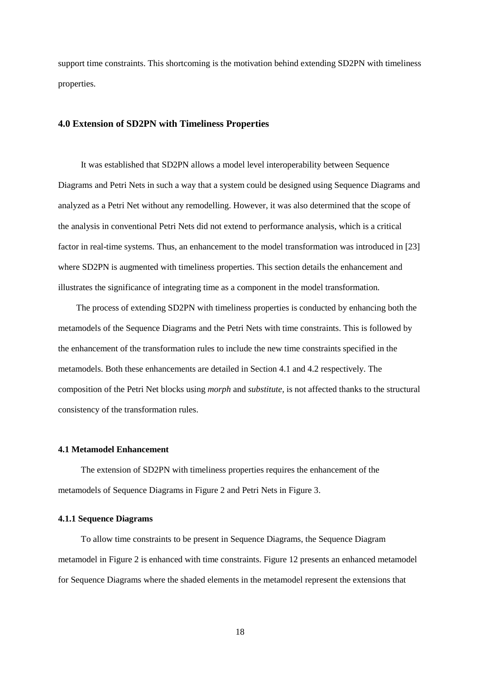support time constraints. This shortcoming is the motivation behind extending SD2PN with timeliness properties.

# **4.0 Extension of SD2PN with Timeliness Properties**

 It was established that SD2PN allows a model level interoperability between Sequence Diagrams and Petri Nets in such a way that a system could be designed using Sequence Diagrams and analyzed as a Petri Net without any remodelling. However, it was also determined that the scope of the analysis in conventional Petri Nets did not extend to performance analysis, which is a critical factor in real-time systems. Thus, an enhancement to the model transformation was introduced in [23] where SD2PN is augmented with timeliness properties. This section details the enhancement and illustrates the significance of integrating time as a component in the model transformation.

The process of extending SD2PN with timeliness properties is conducted by enhancing both the metamodels of the Sequence Diagrams and the Petri Nets with time constraints. This is followed by the enhancement of the transformation rules to include the new time constraints specified in the metamodels. Both these enhancements are detailed in Section 4.1 and 4.2 respectively. The composition of the Petri Net blocks using *morph* and *substitute,* is not affected thanks to the structural consistency of the transformation rules.

#### **4.1 Metamodel Enhancement**

 The extension of SD2PN with timeliness properties requires the enhancement of the metamodels of Sequence Diagrams in Figure 2 and Petri Nets in Figure 3.

# **4.1.1 Sequence Diagrams**

 To allow time constraints to be present in Sequence Diagrams, the Sequence Diagram metamodel in Figure 2 is enhanced with time constraints. Figure 12 presents an enhanced metamodel for Sequence Diagrams where the shaded elements in the metamodel represent the extensions that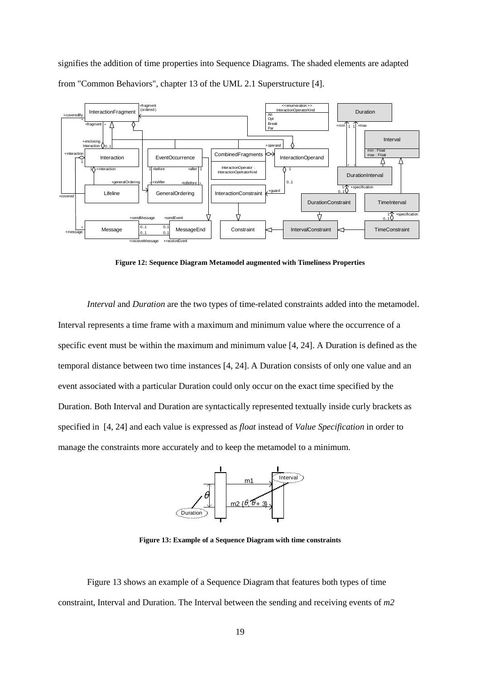signifies the addition of time properties into Sequence Diagrams. The shaded elements are adapted from "Common Behaviors", chapter 13 of the UML 2.1 Superstructure [4].



**Figure 12: Sequence Diagram Metamodel augmented with Timeliness Properties** 

*Interval* and *Duration* are the two types of time-related constraints added into the metamodel. Interval represents a time frame with a maximum and minimum value where the occurrence of a specific event must be within the maximum and minimum value [4, 24]. A Duration is defined as the temporal distance between two time instances [4, 24]. A Duration consists of only one value and an event associated with a particular Duration could only occur on the exact time specified by the Duration. Both Interval and Duration are syntactically represented textually inside curly brackets as specified in [4, 24] and each value is expressed as *float* instead of *Value Specification* in order to manage the constraints more accurately and to keep the metamodel to a minimum.



**Figure 13: Example of a Sequence Diagram with time constraints** 

Figure 13 shows an example of a Sequence Diagram that features both types of time constraint, Interval and Duration. The Interval between the sending and receiving events of *m2*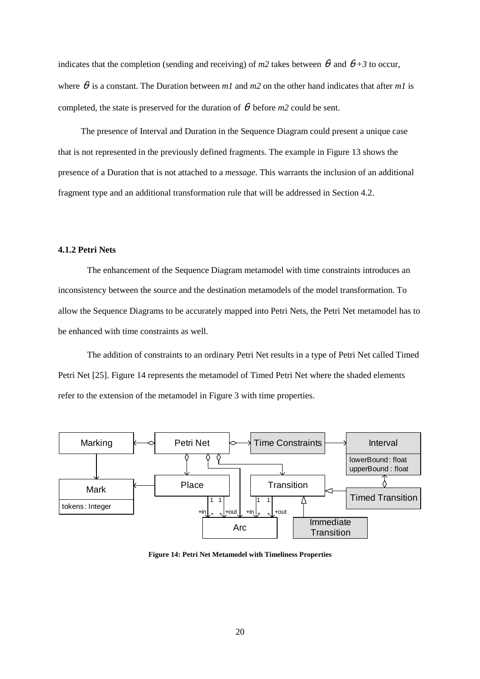indicates that the completion (sending and receiving) of  $m^2$  takes between  $\theta$  and  $\theta + 3$  to occur, where  $\theta$  is a constant. The Duration between *m1* and *m2* on the other hand indicates that after *m1* is completed, the state is preserved for the duration of  $\theta$  before *m2* could be sent.

 The presence of Interval and Duration in the Sequence Diagram could present a unique case that is not represented in the previously defined fragments. The example in Figure 13 shows the presence of a Duration that is not attached to a *message*. This warrants the inclusion of an additional fragment type and an additional transformation rule that will be addressed in Section 4.2.

# **4.1.2 Petri Nets**

The enhancement of the Sequence Diagram metamodel with time constraints introduces an inconsistency between the source and the destination metamodels of the model transformation. To allow the Sequence Diagrams to be accurately mapped into Petri Nets, the Petri Net metamodel has to be enhanced with time constraints as well.

The addition of constraints to an ordinary Petri Net results in a type of Petri Net called Timed Petri Net [25]. Figure 14 represents the metamodel of Timed Petri Net where the shaded elements refer to the extension of the metamodel in Figure 3 with time properties.



**Figure 14: Petri Net Metamodel with Timeliness Properties**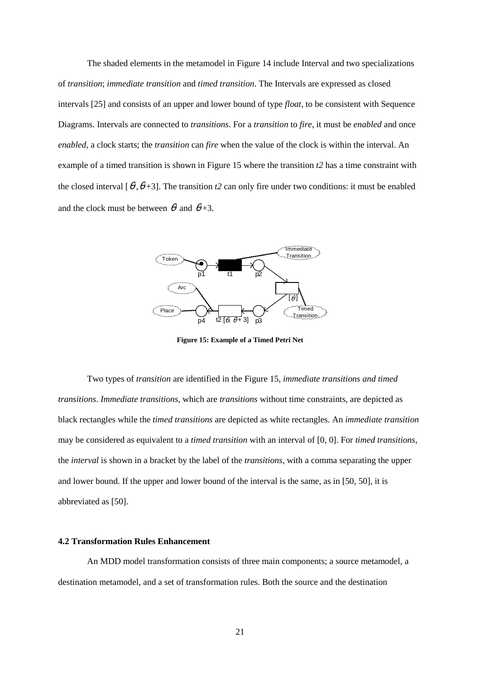The shaded elements in the metamodel in Figure 14 include Interval and two specializations of *transition*; *immediate transition* and *timed transition*. The Intervals are expressed as closed intervals [25] and consists of an upper and lower bound of type *float*, to be consistent with Sequence Diagrams. Intervals are connected to *transitions*. For a *transition* to *fire*, it must be *enabled* and once *enabled*, a clock starts; the *transition* can *fire* when the value of the clock is within the interval. An example of a timed transition is shown in Figure 15 where the transition *t2* has a time constraint with the closed interval  $[\theta, \theta+3]$ . The transition *t*2 can only fire under two conditions: it must be enabled and the clock must be between  $\theta$  and  $\theta$ +3.



**Figure 15: Example of a Timed Petri Net** 

 Two types of *transition* are identified in the Figure 15, *immediate transitions and timed transitions*. *Immediate transitions*, which are *transitions* without time constraints, are depicted as black rectangles while the *timed transitions* are depicted as white rectangles. An *immediate transition* may be considered as equivalent to a *timed transition* with an interval of [0, 0]. For *timed transitions*, the *interval* is shown in a bracket by the label of the *transitions*, with a comma separating the upper and lower bound. If the upper and lower bound of the interval is the same, as in [50, 50], it is abbreviated as [50].

#### **4.2 Transformation Rules Enhancement**

An MDD model transformation consists of three main components; a source metamodel, a destination metamodel, and a set of transformation rules. Both the source and the destination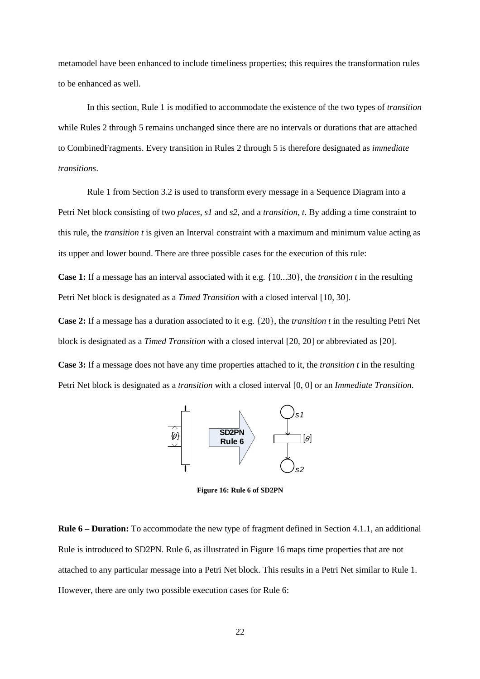metamodel have been enhanced to include timeliness properties; this requires the transformation rules to be enhanced as well.

In this section, Rule 1 is modified to accommodate the existence of the two types of *transition* while Rules 2 through 5 remains unchanged since there are no intervals or durations that are attached to CombinedFragments. Every transition in Rules 2 through 5 is therefore designated as *immediate transitions*.

Rule 1 from Section 3.2 is used to transform every message in a Sequence Diagram into a Petri Net block consisting of two *places*, *s1* and *s2*, and a *transition*, *t*. By adding a time constraint to this rule, the *transition t* is given an Interval constraint with a maximum and minimum value acting as its upper and lower bound. There are three possible cases for the execution of this rule:

**Case 1:** If a message has an interval associated with it e.g. {10...30}, the *transition t* in the resulting Petri Net block is designated as a *Timed Transition* with a closed interval [10, 30].

**Case 2:** If a message has a duration associated to it e.g. {20}, the *transition t* in the resulting Petri Net block is designated as a *Timed Transition* with a closed interval [20, 20] or abbreviated as [20].

**Case 3:** If a message does not have any time properties attached to it, the *transition t* in the resulting Petri Net block is designated as a *transition* with a closed interval [0, 0] or an *Immediate Transition*.



**Figure 16: Rule 6 of SD2PN** 

**Rule 6 – Duration:** To accommodate the new type of fragment defined in Section 4.1.1, an additional Rule is introduced to SD2PN. Rule 6, as illustrated in Figure 16 maps time properties that are not attached to any particular message into a Petri Net block. This results in a Petri Net similar to Rule 1. However, there are only two possible execution cases for Rule 6: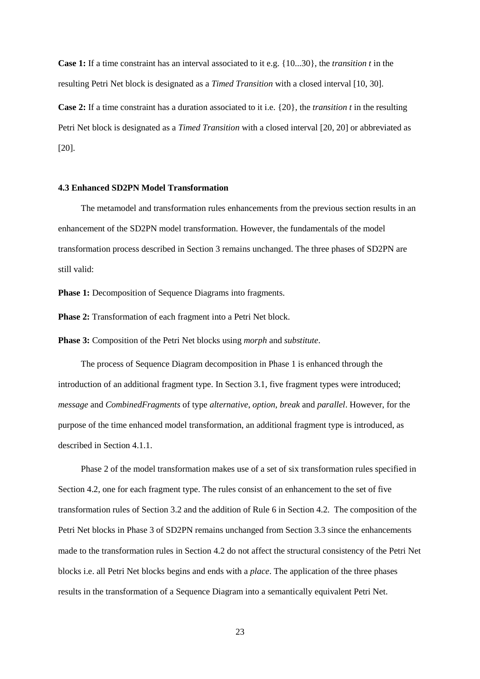**Case 1:** If a time constraint has an interval associated to it e.g. {10...30}, the *transition t* in the resulting Petri Net block is designated as a *Timed Transition* with a closed interval [10, 30].

**Case 2:** If a time constraint has a duration associated to it i.e. {20}, the *transition t* in the resulting Petri Net block is designated as a *Timed Transition* with a closed interval [20, 20] or abbreviated as [20].

#### **4.3 Enhanced SD2PN Model Transformation**

 The metamodel and transformation rules enhancements from the previous section results in an enhancement of the SD2PN model transformation. However, the fundamentals of the model transformation process described in Section 3 remains unchanged. The three phases of SD2PN are still valid:

**Phase 1:** Decomposition of Sequence Diagrams into fragments.

**Phase 2:** Transformation of each fragment into a Petri Net block.

**Phase 3:** Composition of the Petri Net blocks using *morph* and *substitute*.

 The process of Sequence Diagram decomposition in Phase 1 is enhanced through the introduction of an additional fragment type. In Section 3.1, five fragment types were introduced; *message* and *CombinedFragments* of type *alternative*, *option*, *break* and *parallel*. However, for the purpose of the time enhanced model transformation, an additional fragment type is introduced, as described in Section 4.1.1.

 Phase 2 of the model transformation makes use of a set of six transformation rules specified in Section 4.2, one for each fragment type. The rules consist of an enhancement to the set of five transformation rules of Section 3.2 and the addition of Rule 6 in Section 4.2. The composition of the Petri Net blocks in Phase 3 of SD2PN remains unchanged from Section 3.3 since the enhancements made to the transformation rules in Section 4.2 do not affect the structural consistency of the Petri Net blocks i.e. all Petri Net blocks begins and ends with a *place*. The application of the three phases results in the transformation of a Sequence Diagram into a semantically equivalent Petri Net.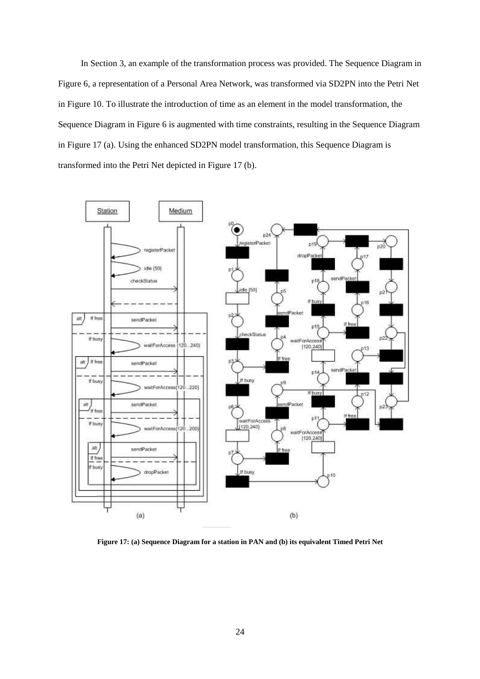In Section 3, an example of the transformation process was provided. The Sequence Diagram in Figure 6, a representation of a Personal Area Network, was transformed via SD2PN into the Petri Net in Figure 10. To illustrate the introduction of time as an element in the model transformation, the Sequence Diagram in Figure 6 is augmented with time constraints, resulting in the Sequence Diagram in Figure 17 (a). Using the enhanced SD2PN model transformation, this Sequence Diagram is transformed into the Petri Net depicted in Figure 17 (b).



**Figure 17: (a) Sequence Diagram for a station in PAN and (b) its equivalent Timed Petri Net**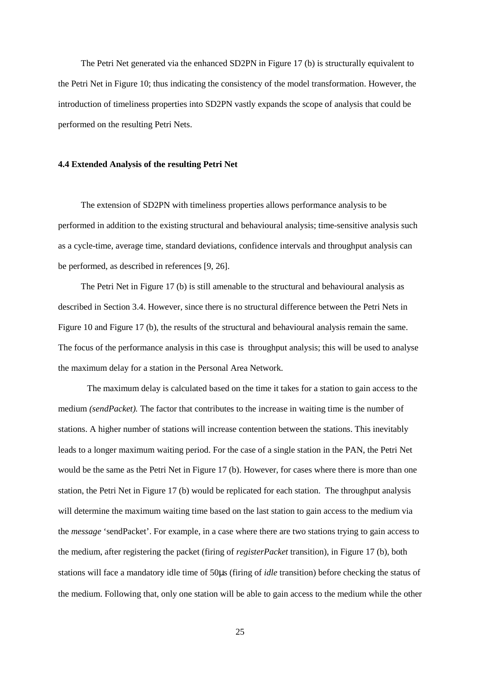The Petri Net generated via the enhanced SD2PN in Figure 17 (b) is structurally equivalent to the Petri Net in Figure 10; thus indicating the consistency of the model transformation. However, the introduction of timeliness properties into SD2PN vastly expands the scope of analysis that could be performed on the resulting Petri Nets.

#### **4.4 Extended Analysis of the resulting Petri Net**

 The extension of SD2PN with timeliness properties allows performance analysis to be performed in addition to the existing structural and behavioural analysis; time-sensitive analysis such as a cycle-time, average time, standard deviations, confidence intervals and throughput analysis can be performed, as described in references [9, 26].

 The Petri Net in Figure 17 (b) is still amenable to the structural and behavioural analysis as described in Section 3.4. However, since there is no structural difference between the Petri Nets in Figure 10 and Figure 17 (b), the results of the structural and behavioural analysis remain the same. The focus of the performance analysis in this case is throughput analysis; this will be used to analyse the maximum delay for a station in the Personal Area Network.

The maximum delay is calculated based on the time it takes for a station to gain access to the medium *(sendPacket).* The factor that contributes to the increase in waiting time is the number of stations. A higher number of stations will increase contention between the stations. This inevitably leads to a longer maximum waiting period. For the case of a single station in the PAN, the Petri Net would be the same as the Petri Net in Figure 17 (b). However, for cases where there is more than one station, the Petri Net in Figure 17 (b) would be replicated for each station. The throughput analysis will determine the maximum waiting time based on the last station to gain access to the medium via the *message* 'sendPacket'. For example, in a case where there are two stations trying to gain access to the medium, after registering the packet (firing of *registerPacket* transition), in Figure 17 (b), both stations will face a mandatory idle time of 50µs (firing of *idle* transition) before checking the status of the medium. Following that, only one station will be able to gain access to the medium while the other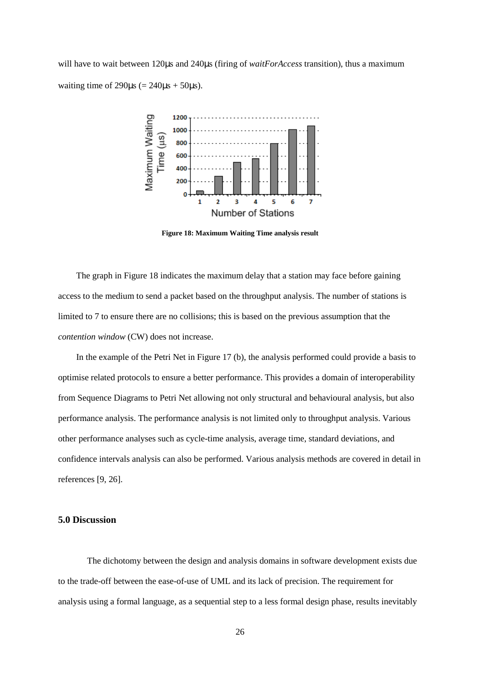will have to wait between 120 $\mu$ s and 240 $\mu$ s (firing of *waitForAccess* transition), thus a maximum waiting time of  $290\text{us}$  (=  $240\text{us} + 50\text{us}$ ).



**Figure 18: Maximum Waiting Time analysis result** 

The graph in Figure 18 indicates the maximum delay that a station may face before gaining access to the medium to send a packet based on the throughput analysis. The number of stations is limited to 7 to ensure there are no collisions; this is based on the previous assumption that the *contention window* (CW) does not increase.

In the example of the Petri Net in Figure 17 (b), the analysis performed could provide a basis to optimise related protocols to ensure a better performance. This provides a domain of interoperability from Sequence Diagrams to Petri Net allowing not only structural and behavioural analysis, but also performance analysis. The performance analysis is not limited only to throughput analysis. Various other performance analyses such as cycle-time analysis, average time, standard deviations, and confidence intervals analysis can also be performed. Various analysis methods are covered in detail in references [9, 26].

# **5.0 Discussion**

 The dichotomy between the design and analysis domains in software development exists due to the trade-off between the ease-of-use of UML and its lack of precision. The requirement for analysis using a formal language, as a sequential step to a less formal design phase, results inevitably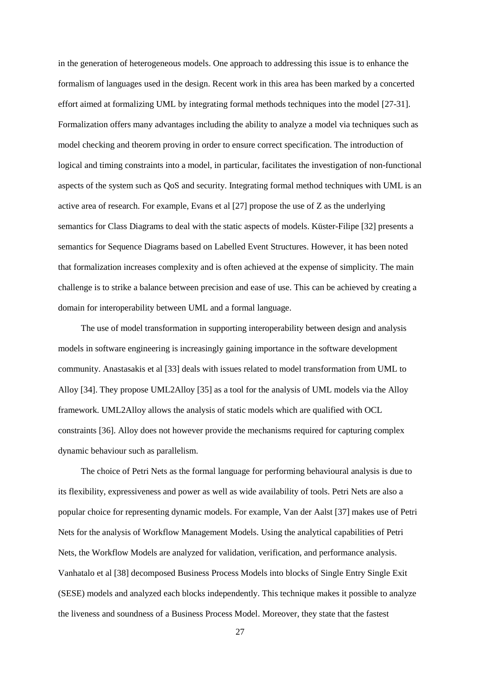in the generation of heterogeneous models. One approach to addressing this issue is to enhance the formalism of languages used in the design. Recent work in this area has been marked by a concerted effort aimed at formalizing UML by integrating formal methods techniques into the model [27-31]. Formalization offers many advantages including the ability to analyze a model via techniques such as model checking and theorem proving in order to ensure correct specification. The introduction of logical and timing constraints into a model, in particular, facilitates the investigation of non-functional aspects of the system such as QoS and security. Integrating formal method techniques with UML is an active area of research. For example, Evans et al [27] propose the use of Z as the underlying semantics for Class Diagrams to deal with the static aspects of models. Küster-Filipe [32] presents a semantics for Sequence Diagrams based on Labelled Event Structures. However, it has been noted that formalization increases complexity and is often achieved at the expense of simplicity. The main challenge is to strike a balance between precision and ease of use. This can be achieved by creating a domain for interoperability between UML and a formal language.

The use of model transformation in supporting interoperability between design and analysis models in software engineering is increasingly gaining importance in the software development community. Anastasakis et al [33] deals with issues related to model transformation from UML to Alloy [34]. They propose UML2Alloy [35] as a tool for the analysis of UML models via the Alloy framework. UML2Alloy allows the analysis of static models which are qualified with OCL constraints [36]. Alloy does not however provide the mechanisms required for capturing complex dynamic behaviour such as parallelism.

The choice of Petri Nets as the formal language for performing behavioural analysis is due to its flexibility, expressiveness and power as well as wide availability of tools. Petri Nets are also a popular choice for representing dynamic models. For example, Van der Aalst [37] makes use of Petri Nets for the analysis of Workflow Management Models. Using the analytical capabilities of Petri Nets, the Workflow Models are analyzed for validation, verification, and performance analysis. Vanhatalo et al [38] decomposed Business Process Models into blocks of Single Entry Single Exit (SESE) models and analyzed each blocks independently. This technique makes it possible to analyze the liveness and soundness of a Business Process Model. Moreover, they state that the fastest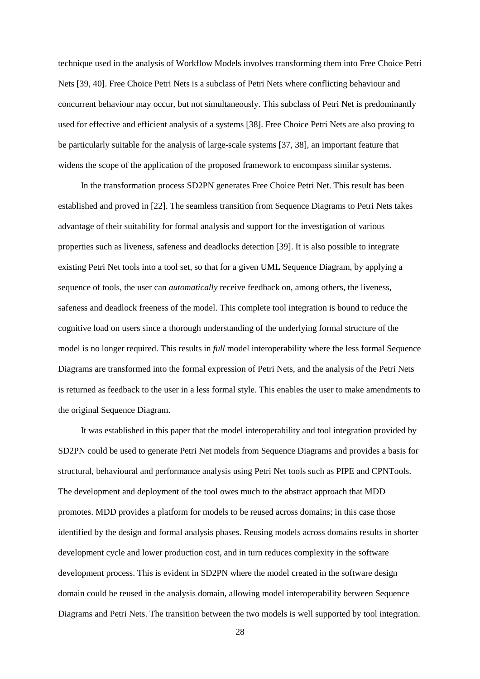technique used in the analysis of Workflow Models involves transforming them into Free Choice Petri Nets [39, 40]. Free Choice Petri Nets is a subclass of Petri Nets where conflicting behaviour and concurrent behaviour may occur, but not simultaneously. This subclass of Petri Net is predominantly used for effective and efficient analysis of a systems [38]. Free Choice Petri Nets are also proving to be particularly suitable for the analysis of large-scale systems [37, 38], an important feature that widens the scope of the application of the proposed framework to encompass similar systems.

In the transformation process SD2PN generates Free Choice Petri Net. This result has been established and proved in [22]. The seamless transition from Sequence Diagrams to Petri Nets takes advantage of their suitability for formal analysis and support for the investigation of various properties such as liveness, safeness and deadlocks detection [39]. It is also possible to integrate existing Petri Net tools into a tool set, so that for a given UML Sequence Diagram, by applying a sequence of tools, the user can *automatically* receive feedback on, among others, the liveness, safeness and deadlock freeness of the model. This complete tool integration is bound to reduce the cognitive load on users since a thorough understanding of the underlying formal structure of the model is no longer required. This results in *full* model interoperability where the less formal Sequence Diagrams are transformed into the formal expression of Petri Nets, and the analysis of the Petri Nets is returned as feedback to the user in a less formal style. This enables the user to make amendments to the original Sequence Diagram.

It was established in this paper that the model interoperability and tool integration provided by SD2PN could be used to generate Petri Net models from Sequence Diagrams and provides a basis for structural, behavioural and performance analysis using Petri Net tools such as PIPE and CPNTools. The development and deployment of the tool owes much to the abstract approach that MDD promotes. MDD provides a platform for models to be reused across domains; in this case those identified by the design and formal analysis phases. Reusing models across domains results in shorter development cycle and lower production cost, and in turn reduces complexity in the software development process. This is evident in SD2PN where the model created in the software design domain could be reused in the analysis domain, allowing model interoperability between Sequence Diagrams and Petri Nets. The transition between the two models is well supported by tool integration.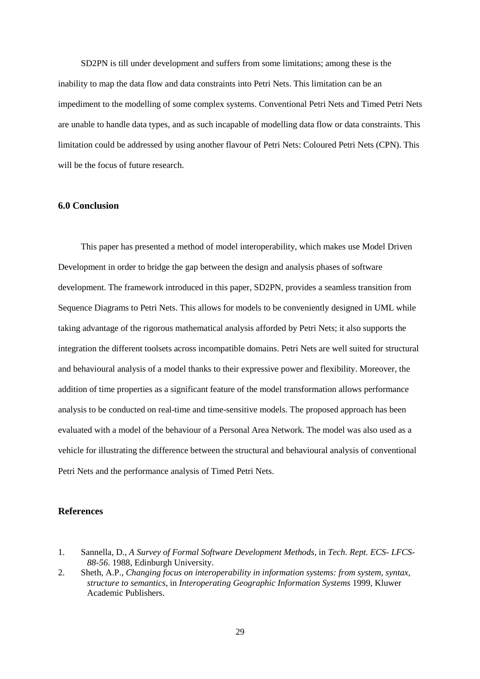SD2PN is till under development and suffers from some limitations; among these is the inability to map the data flow and data constraints into Petri Nets. This limitation can be an impediment to the modelling of some complex systems. Conventional Petri Nets and Timed Petri Nets are unable to handle data types, and as such incapable of modelling data flow or data constraints. This limitation could be addressed by using another flavour of Petri Nets: Coloured Petri Nets (CPN). This will be the focus of future research.

# **6.0 Conclusion**

 This paper has presented a method of model interoperability, which makes use Model Driven Development in order to bridge the gap between the design and analysis phases of software development. The framework introduced in this paper, SD2PN, provides a seamless transition from Sequence Diagrams to Petri Nets. This allows for models to be conveniently designed in UML while taking advantage of the rigorous mathematical analysis afforded by Petri Nets; it also supports the integration the different toolsets across incompatible domains. Petri Nets are well suited for structural and behavioural analysis of a model thanks to their expressive power and flexibility. Moreover, the addition of time properties as a significant feature of the model transformation allows performance analysis to be conducted on real-time and time-sensitive models. The proposed approach has been evaluated with a model of the behaviour of a Personal Area Network. The model was also used as a vehicle for illustrating the difference between the structural and behavioural analysis of conventional Petri Nets and the performance analysis of Timed Petri Nets.

# **References**

<sup>1.</sup> Sannella, D., *A Survey of Formal Software Development Methods*, in *Tech. Rept. ECS- LFCS-88-56*. 1988, Edinburgh University.

<sup>2.</sup> Sheth, A.P., *Changing focus on interoperability in information systems: from system, syntax, structure to semantics*, in *Interoperating Geographic Information Systems* 1999, Kluwer Academic Publishers.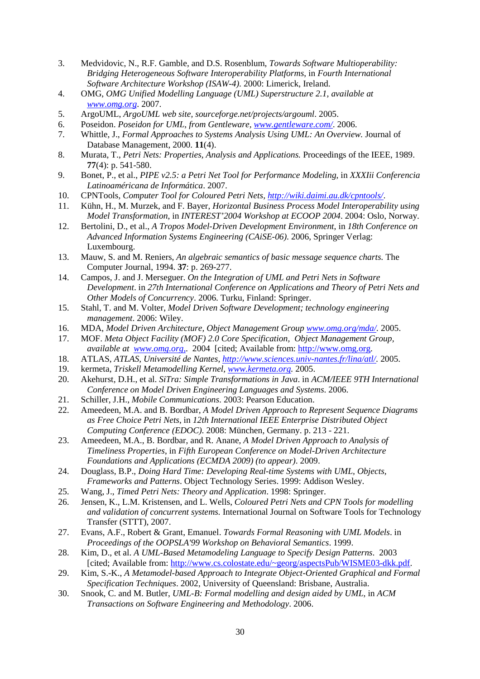- 3. Medvidovic, N., R.F. Gamble, and D.S. Rosenblum, *Towards Software Multioperability: Bridging Heterogeneous Software Interoperability Platforms*, in *Fourth International Software Architecture Workshop (ISAW-4)*. 2000: Limerick, Ireland.
- 4. OMG, *OMG Unified Modelling Language (UML) Superstructure 2.1, available at www.omg.org*. 2007.
- 5. ArgoUML, *ArgoUML web site, sourceforge.net/projects/argouml*. 2005.
- 6. Poseidon. *Poseidon for UML, from Gentleware, www.gentleware.com/*. 2006.
- 7. Whittle, J., *Formal Approaches to Systems Analysis Using UML: An Overview.* Journal of Database Management, 2000. **11**(4).
- 8. Murata, T., *Petri Nets: Properties, Analysis and Applications.* Proceedings of the IEEE, 1989. **77**(4): p. 541-580.
- 9. Bonet, P., et al., *PIPE v2.5: a Petri Net Tool for Performance Modeling*, in *XXXIii Conferencia Latinoaméricana de Informática*. 2007.
- 10. CPNTools, *Computer Tool for Coloured Petri Nets, http://wiki.daimi.au.dk/cpntools/*.
- 11. Kühn, H., M. Murzek, and F. Bayer, *Horizontal Business Process Model Interoperability using Model Transformation*, in *INTEREST'2004 Workshop at ECOOP 2004*. 2004: Oslo, Norway.
- 12. Bertolini, D., et al., *A Tropos Model-Driven Development Environment*, in *18th Conference on Advanced Information Systems Engineering (CAiSE-06)*. 2006, Springer Verlag: Luxembourg.
- 13. Mauw, S. and M. Reniers, *An algebraic semantics of basic message sequence charts.* The Computer Journal, 1994. **37**: p. 269-277.
- 14. Campos, J. and J. Merseguer. *On the Integration of UML and Petri Nets in Software Development*. in *27th International Conference on Applications and Theory of Petri Nets and Other Models of Concurrency*. 2006. Turku, Finland: Springer.
- 15. Stahl, T. and M. Volter, *Model Driven Software Development; technology engineering management*. 2006: Wiley.
- 16. MDA, *Model Driven Architecture, Object Management Group www.omg.org/mda/.* 2005.
- 17. MOF. *Meta Object Facility (MOF) 2.0 Core Specification, Object Management Group, available at www.omg.org,*. 2004 [cited; Available from: http://www.omg.org.
- 18. ATLAS, *ATLAS, Université de Nantes, http://www.sciences.univ-nantes.fr/lina/atl/.* 2005.
- 19. kermeta, *Triskell Metamodelling Kernel, www.kermeta.org.* 2005.
- 20. Akehurst, D.H., et al. *SiTra: Simple Transformations in Java*. in *ACM/IEEE 9TH International Conference on Model Driven Engineering Languages and Systems*. 2006.
- 21. Schiller, J.H., *Mobile Communications*. 2003: Pearson Education.
- 22. Ameedeen, M.A. and B. Bordbar, *A Model Driven Approach to Represent Sequence Diagrams as Free Choice Petri Nets*, in *12th International IEEE Enterprise Distributed Object Computing Conference (EDOC)*. 2008: München, Germany. p. 213 - 221.
- 23. Ameedeen, M.A., B. Bordbar, and R. Anane, *A Model Driven Approach to Analysis of Timeliness Properties*, in *Fifth European Conference on Model-Driven Architecture Foundations and Applications (ECMDA 2009) (to appear)*. 2009.
- 24. Douglass, B.P., *Doing Hard Time: Developing Real-time Systems with UML, Objects, Frameworks and Patterns*. Object Technology Series. 1999: Addison Wesley.
- 25. Wang, J., *Timed Petri Nets: Theory and Application*. 1998: Springer.
- 26. Jensen, K., L.M. Kristensen, and L. Wells, *Coloured Petri Nets and CPN Tools for modelling and validation of concurrent systems.* International Journal on Software Tools for Technology Transfer (STTT), 2007.
- 27. Evans, A.F., Robert & Grant, Emanuel. *Towards Formal Reasoning with UML Models*. in *Proceedings of the OOPSLA'99 Workshop on Behavioral Semantics*. 1999.
- 28. Kim, D., et al. *A UML-Based Metamodeling Language to Specify Design Patterns*. 2003 [cited; Available from: http://www.cs.colostate.edu/~georg/aspectsPub/WISME03-dkk.pdf.
- 29. Kim, S.-K., *A Metamodel-based Approach to Integrate Object-Oriented Graphical and Formal Specification Techniques*. 2002, University of Queensland: Brisbane, Australia.
- 30. Snook, C. and M. Butler, *UML-B: Formal modelling and design aided by UML*, in *ACM Transactions on Software Engineering and Methodology*. 2006.